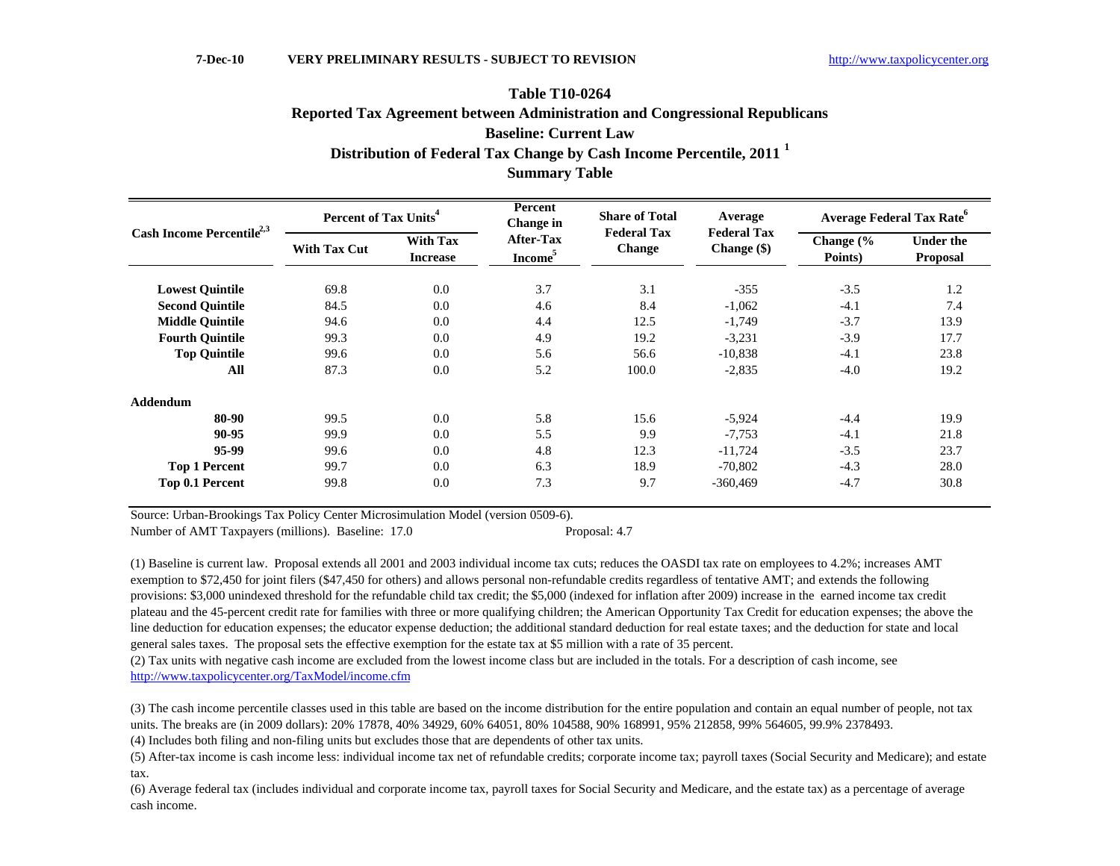# **Distribution of Federal Tax Change by Cash Income Percentile, 2011 <sup>1</sup> Table T10-0264Reported Tax Agreement between Administration and Congressional Republicans Baseline: Current Law**

**Summary Table**

| Cash Income Percentile <sup>2,3</sup> | Percent of Tax Units <sup>4</sup> |                                    | Percent<br>Change in                    | <b>Share of Total</b><br><b>Federal Tax</b> | Average                             |                      | <b>Average Federal Tax Rate<sup>o</sup></b> |
|---------------------------------------|-----------------------------------|------------------------------------|-----------------------------------------|---------------------------------------------|-------------------------------------|----------------------|---------------------------------------------|
|                                       | <b>With Tax Cut</b>               | <b>With Tax</b><br><b>Increase</b> | <b>After-Tax</b><br>Income <sup>5</sup> | <b>Change</b>                               | <b>Federal Tax</b><br>Change $(\$)$ | Change (%<br>Points) | <b>Under the</b><br>Proposal                |
| <b>Lowest Quintile</b>                | 69.8                              | 0.0                                | 3.7                                     | 3.1                                         | $-355$                              | $-3.5$               | 1.2                                         |
| <b>Second Quintile</b>                | 84.5                              | 0.0                                | 4.6                                     | 8.4                                         | $-1,062$                            | $-4.1$               | 7.4                                         |
| <b>Middle Quintile</b>                | 94.6                              | 0.0                                | 4.4                                     | 12.5                                        | $-1,749$                            | $-3.7$               | 13.9                                        |
| <b>Fourth Quintile</b>                | 99.3                              | 0.0                                | 4.9                                     | 19.2                                        | $-3,231$                            | $-3.9$               | 17.7                                        |
| <b>Top Quintile</b>                   | 99.6                              | 0.0                                | 5.6                                     | 56.6                                        | $-10,838$                           | $-4.1$               | 23.8                                        |
| All                                   | 87.3                              | 0.0                                | 5.2                                     | 100.0                                       | $-2,835$                            | $-4.0$               | 19.2                                        |
| Addendum                              |                                   |                                    |                                         |                                             |                                     |                      |                                             |
| 80-90                                 | 99.5                              | 0.0                                | 5.8                                     | 15.6                                        | $-5,924$                            | $-4.4$               | 19.9                                        |
| 90-95                                 | 99.9                              | 0.0                                | 5.5                                     | 9.9                                         | $-7,753$                            | $-4.1$               | 21.8                                        |
| 95-99                                 | 99.6                              | 0.0                                | 4.8                                     | 12.3                                        | $-11,724$                           | $-3.5$               | 23.7                                        |
| <b>Top 1 Percent</b>                  | 99.7                              | 0.0                                | 6.3                                     | 18.9                                        | $-70,802$                           | $-4.3$               | 28.0                                        |
| Top 0.1 Percent                       | 99.8                              | 0.0                                | 7.3                                     | 9.7                                         | $-360,469$                          | $-4.7$               | 30.8                                        |

Source: Urban-Brookings Tax Policy Center Microsimulation Model (version 0509-6).

Number of AMT Taxpayers (millions). Baseline: 17.0 Proposal: 4.7

(1) Baseline is current law. Proposal extends all 2001 and 2003 individual income tax cuts; reduces the OASDI tax rate on employees to 4.2%; increases AMT exemption to \$72,450 for joint filers (\$47,450 for others) and allows personal non-refundable credits regardless of tentative AMT; and extends the following provisions: \$3,000 unindexed threshold for the refundable child tax credit; the \$5,000 (indexed for inflation after 2009) increase in the earned income tax credit plateau and the 45-percent credit rate for families with three or more qualifying children; the American Opportunity Tax Credit for education expenses; the above the line deduction for education expenses; the educator expense deduction; the additional standard deduction for real estate taxes; and the deduction for state and local general sales taxes. The proposal sets the effective exemption for the estate tax at \$5 million with a rate of 35 percent.

(2) Tax units with negative cash income are excluded from the lowest income class but are included in the totals. For a description of cash income, see http://www.taxpolicycenter.org/TaxModel/income.cfm

(3) The cash income percentile classes used in this table are based on the income distribution for the entire population and contain an equal number of people, not tax units. The breaks are (in 2009 dollars): 20% 17878, 40% 34929, 60% 64051, 80% 104588, 90% 168991, 95% 212858, 99% 564605, 99.9% 2378493.

(4) Includes both filing and non-filing units but excludes those that are dependents of other tax units.

(5) After-tax income is cash income less: individual income tax net of refundable credits; corporate income tax; payroll taxes (Social Security and Medicare); and estate tax.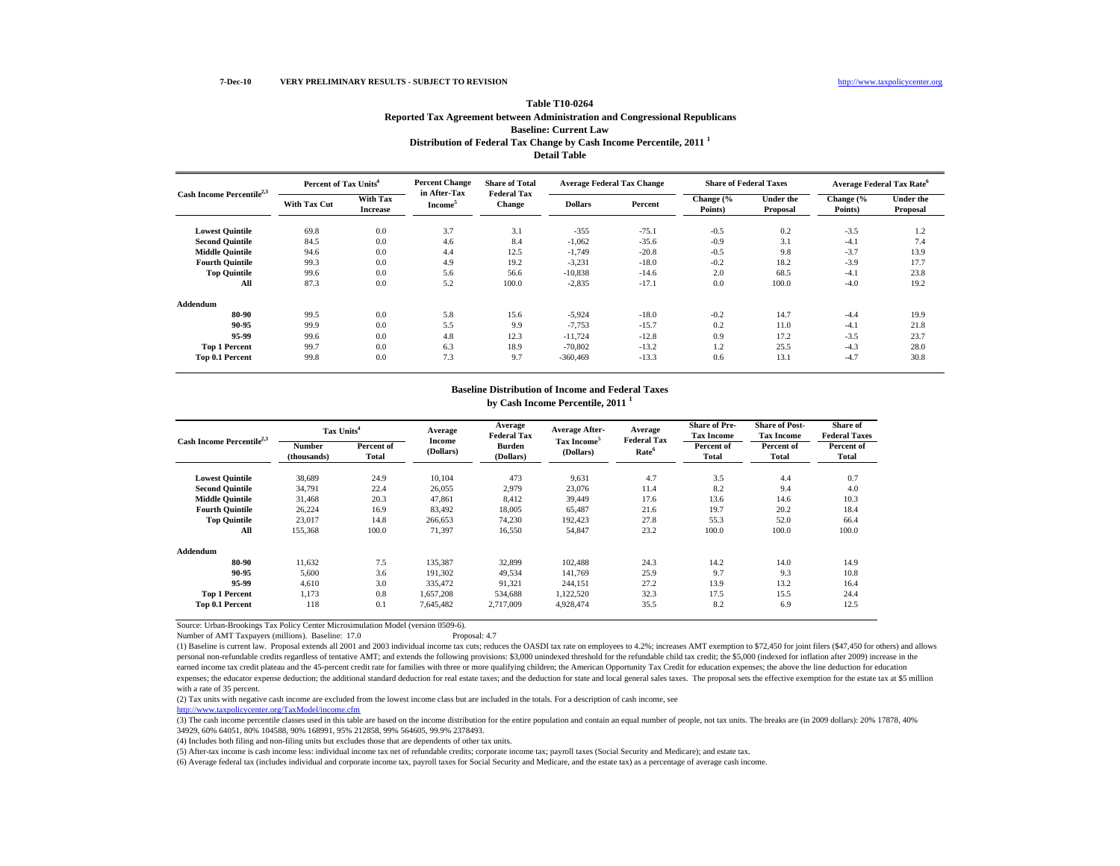| <b>Table T10-0264</b>                                                       |
|-----------------------------------------------------------------------------|
| Reported Tax Agreement between Administration and Congressional Republicans |
| <b>Baseline: Current Law</b>                                                |
| Distribution of Federal Tax Change by Cash Income Percentile, 2011          |
| <b>Detail Table</b>                                                         |

|                                       | Percent of Tax Units <sup>4</sup> |                                    | <b>Percent Change</b>               | <b>Share of Total</b><br><b>Federal Tax</b> |                | <b>Average Federal Tax Change</b> | <b>Share of Federal Taxes</b> |                       |                      | <b>Average Federal Tax Rate<sup>6</sup></b> |
|---------------------------------------|-----------------------------------|------------------------------------|-------------------------------------|---------------------------------------------|----------------|-----------------------------------|-------------------------------|-----------------------|----------------------|---------------------------------------------|
| Cash Income Percentile <sup>2,3</sup> | With Tax Cut                      | <b>With Tax</b><br><b>Increase</b> | in After-Tax<br>Income <sup>5</sup> | <b>Change</b>                               | <b>Dollars</b> | Percent                           | Change (%<br>Points)          | Under the<br>Proposal | Change (%<br>Points) | <b>Under the</b><br>Proposal                |
| <b>Lowest Quintile</b>                | 69.8                              | 0.0                                | 3.7                                 | 3.1                                         | $-355$         | $-75.1$                           | $-0.5$                        | 0.2                   | $-3.5$               | 1.2                                         |
| <b>Second Quintile</b>                | 84.5                              | 0.0                                | 4.6                                 | 8.4                                         | $-1,062$       | $-35.6$                           | $-0.9$                        | 3.1                   | $-4.1$               | 7.4                                         |
| <b>Middle Quintile</b>                | 94.6                              | 0.0                                | 4.4                                 | 12.5                                        | $-1,749$       | $-20.8$                           | $-0.5$                        | 9.8                   | $-3.7$               | 13.9                                        |
| <b>Fourth Quintile</b>                | 99.3                              | 0.0                                | 4.9                                 | 19.2                                        | $-3,231$       | $-18.0$                           | $-0.2$                        | 18.2                  | $-3.9$               | 17.7                                        |
| <b>Top Quintile</b>                   | 99.6                              | 0.0                                | 5.6                                 | 56.6                                        | $-10,838$      | $-14.6$                           | 2.0                           | 68.5                  | $-4.1$               | 23.8                                        |
| All                                   | 87.3                              | 0.0                                | 5.2                                 | 100.0                                       | $-2,835$       | $-17.1$                           | 0.0                           | 100.0                 | $-4.0$               | 19.2                                        |
| <b>Addendum</b>                       |                                   |                                    |                                     |                                             |                |                                   |                               |                       |                      |                                             |
| 80-90                                 | 99.5                              | 0.0                                | 5.8                                 | 15.6                                        | $-5,924$       | $-18.0$                           | $-0.2$                        | 14.7                  | $-4.4$               | 19.9                                        |
| 90-95                                 | 99.9                              | 0.0                                | 5.5                                 | 9.9                                         | $-7,753$       | $-15.7$                           | 0.2                           | 11.0                  | $-4.1$               | 21.8                                        |
| 95-99                                 | 99.6                              | 0.0                                | 4.8                                 | 12.3                                        | $-11,724$      | $-12.8$                           | 0.9                           | 17.2                  | $-3.5$               | 23.7                                        |
| <b>Top 1 Percent</b>                  | 99.7                              | 0.0                                | 6.3                                 | 18.9                                        | $-70,802$      | $-13.2$                           | 1.2                           | 25.5                  | $-4.3$               | 28.0                                        |
| Top 0.1 Percent                       | 99.8                              | 0.0                                | 7.3                                 | 9.7                                         | $-360,469$     | $-13.3$                           | 0.6                           | 13.1                  | $-4.7$               | 30.8                                        |

**Baseline Distribution of Income and Federal Taxes**

|                                       | Tax Units <sup>4</sup>       |                     | Average             | Average<br><b>Federal Tax</b> | <b>Average After-</b>   | Average                                 | <b>Share of Pre-</b><br><b>Tax Income</b> | <b>Share of Post-</b><br><b>Tax Income</b> | Share of<br><b>Federal Taxes</b> |
|---------------------------------------|------------------------------|---------------------|---------------------|-------------------------------|-------------------------|-----------------------------------------|-------------------------------------------|--------------------------------------------|----------------------------------|
| Cash Income Percentile <sup>2,3</sup> | <b>Number</b><br>(thousands) | Percent of<br>Total | Income<br>(Dollars) | <b>Burden</b><br>(Dollars)    | Tax Income<br>(Dollars) | <b>Federal Tax</b><br>Rate <sup>6</sup> | Percent of<br><b>Total</b>                | Percent of<br>Total                        | Percent of<br><b>Total</b>       |
| <b>Lowest Quintile</b>                | 38,689                       | 24.9                | 10.104              | 473                           | 9,631                   | 4.7                                     | 3.5                                       | 4.4                                        | 0.7                              |
| <b>Second Quintile</b>                | 34,791                       | 22.4                | 26,055              | 2,979                         | 23,076                  | 11.4                                    | 8.2                                       | 9.4                                        | 4.0                              |
| <b>Middle Quintile</b>                | 31,468                       | 20.3                | 47,861              | 8,412                         | 39,449                  | 17.6                                    | 13.6                                      | 14.6                                       | 10.3                             |
| <b>Fourth Quintile</b>                | 26,224                       | 16.9                | 83,492              | 18,005                        | 65,487                  | 21.6                                    | 19.7                                      | 20.2                                       | 18.4                             |
| <b>Top Quintile</b>                   | 23,017                       | 14.8                | 266,653             | 74,230                        | 192,423                 | 27.8                                    | 55.3                                      | 52.0                                       | 66.4                             |
| All                                   | 155,368                      | 100.0               | 71,397              | 16,550                        | 54,847                  | 23.2                                    | 100.0                                     | 100.0                                      | 100.0                            |
| Addendum                              |                              |                     |                     |                               |                         |                                         |                                           |                                            |                                  |
| 80-90                                 | 11,632                       | 7.5                 | 135,387             | 32,899                        | 102,488                 | 24.3                                    | 14.2                                      | 14.0                                       | 14.9                             |
| 90-95                                 | 5,600                        | 3.6                 | 191,302             | 49,534                        | 141,769                 | 25.9                                    | 9.7                                       | 9.3                                        | 10.8                             |
| 95-99                                 | 4,610                        | 3.0                 | 335.472             | 91,321                        | 244,151                 | 27.2                                    | 13.9                                      | 13.2                                       | 16.4                             |
| <b>Top 1 Percent</b>                  | 1,173                        | 0.8                 | 1,657,208           | 534,688                       | 1,122,520               | 32.3                                    | 17.5                                      | 15.5                                       | 24.4                             |
| Top 0.1 Percent                       | 118                          | 0.1                 | 7,645,482           | 2,717,009                     | 4,928,474               | 35.5                                    | 8.2                                       | 6.9                                        | 12.5                             |

**by Cash Income Percentile, 2011 <sup>1</sup>**

Source: Urban-Brookings Tax Policy Center Microsimulation Model (version 0509-6). Number of AMT Taxpayers (millions). Baseline: 17.0

(1) Baseline is current law. Proposal extends all 2001 and 2003 individual income tax cuts; reduces the OASDI tax rate on employees to 4.2%; increases AMT exemption to \$72,450 for joint filers (\$47,450 for others) and allows personal non-refundable credits regardless of tentative AMT; and extends the following provisions: \$3,000 unindexed threshold for the refundable child tax credit; the \$5,000 (indexed for inflation after 2009) increase in the earned income tax credit plateau and the 45-percent credit rate for families with three or more qualifying children; the American Opportunity Tax Credit for education expenses; the above the line deduction for education expenses; the educator expense deduction; the additional standard deduction for real estate taxes; and the deduction for state and local general sales taxes. The proposal sets the effective exemption for the estate tax at with a rate of 35 percent.

(2) Tax units with negative cash income are excluded from the lowest income class but are included in the totals. For a description of cash income, see

http://www.taxpolicycenter.org/TaxModel/income.cfm

(3) The cash income percentile classes used in this table are based on the income distribution for the entire population and contain an equal number of people, not tax units. The breaks are (in 2009 dollars): 20% 17878, 40% 34929, 60% 64051, 80% 104588, 90% 168991, 95% 212858, 99% 564605, 99.9% 2378493.

(4) Includes both filing and non-filing units but excludes those that are dependents of other tax units.

(5) After-tax income is cash income less: individual income tax net of refundable credits; corporate income tax; payroll taxes (Social Security and Medicare); and estate tax.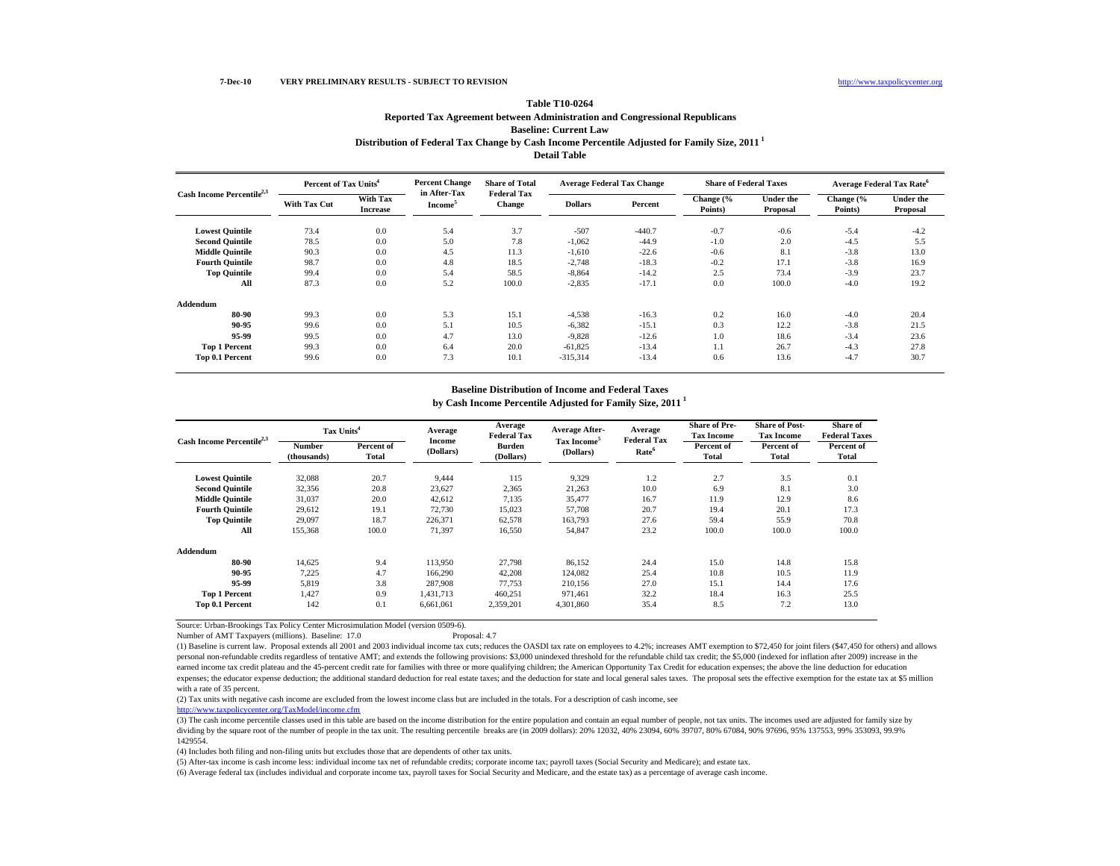## **Distribution of Federal Tax Change by Cash Income Percentile Adjusted for Family Size, 2011 1 Detail TableTable T10-0264Reported Tax Agreement between Administration and Congressional Republicans Baseline: Current Law**

|                                       | Percent of Tax Units <sup>4</sup> |                             | <b>Percent Change</b>               | <b>Share of Total</b>        |                | <b>Average Federal Tax Change</b> | <b>Share of Federal Taxes</b> |                              | <b>Average Federal Tax Rate<sup>6</sup></b> |                              |
|---------------------------------------|-----------------------------------|-----------------------------|-------------------------------------|------------------------------|----------------|-----------------------------------|-------------------------------|------------------------------|---------------------------------------------|------------------------------|
| Cash Income Percentile <sup>2,3</sup> | <b>With Tax Cut</b>               | With Tax<br><b>Increase</b> | in After-Tax<br>Income <sup>5</sup> | <b>Federal Tax</b><br>Change | <b>Dollars</b> | Percent                           | Change (%<br>Points)          | <b>Under the</b><br>Proposal | Change (%<br>Points)                        | <b>Under the</b><br>Proposal |
| <b>Lowest Quintile</b>                | 73.4                              | 0.0                         | 5.4                                 | 3.7                          | $-507$         | $-440.7$                          | $-0.7$                        | $-0.6$                       | $-5.4$                                      | $-4.2$                       |
| <b>Second Quintile</b>                | 78.5                              | 0.0                         | 5.0                                 | 7.8                          | $-1,062$       | $-44.9$                           | $-1.0$                        | 2.0                          | $-4.5$                                      | 5.5                          |
| <b>Middle Quintile</b>                | 90.3                              | 0.0                         | 4.5                                 | 11.3                         | $-1,610$       | $-22.6$                           | $-0.6$                        | 8.1                          | $-3.8$                                      | 13.0                         |
| <b>Fourth Quintile</b>                | 98.7                              | 0.0                         | 4.8                                 | 18.5                         | $-2,748$       | $-18.3$                           | $-0.2$                        | 17.1                         | $-3.8$                                      | 16.9                         |
| <b>Top Quintile</b>                   | 99.4                              | 0.0                         | 5.4                                 | 58.5                         | $-8,864$       | $-14.2$                           | 2.5                           | 73.4                         | $-3.9$                                      | 23.7                         |
| All                                   | 87.3                              | 0.0                         | 5.2                                 | 100.0                        | $-2,835$       | $-17.1$                           | 0.0                           | 100.0                        | $-4.0$                                      | 19.2                         |
| Addendum                              |                                   |                             |                                     |                              |                |                                   |                               |                              |                                             |                              |
| 80-90                                 | 99.3                              | 0.0                         | 5.3                                 | 15.1                         | $-4,538$       | $-16.3$                           | 0.2                           | 16.0                         | $-4.0$                                      | 20.4                         |
| 90-95                                 | 99.6                              | 0.0                         | 5.1                                 | 10.5                         | $-6,382$       | $-15.1$                           | 0.3                           | 12.2                         | $-3.8$                                      | 21.5                         |
| 95.99                                 | 99.5                              | 0 <sub>0</sub>              | 47                                  | 13 0                         | $-9.828$       | $-12.6$                           | $\Omega$                      | 18.6                         | $-34$                                       | 23.6                         |

#### **Baseline Distribution of Income and Federal Taxes**

 99.5 0.0 4.7 13.0 -9,828 -12.6 1.0 18.6 -3.4 23.6 **Top 1 Percent** 99.3 0.0 6.4 20.0 -61,825 -13.4 1.1 26.7 -4.3 27.8 **Top 0.1 Percent** 99.6 0.0 7.3 10.1 -315,314 -13.4 0.6 13.6 -4.7 30.7

**by Cash Income Percentile Adjusted for Family Size, 2011 1**

|                                       | Tax Units <sup>4</sup> |                     | Average             | Average<br><b>Federal Tax</b> | <b>Average After-</b>                | Average<br><b>Federal Tax</b> | <b>Share of Pre-</b><br><b>Tax Income</b> | <b>Share of Post-</b><br><b>Tax Income</b> | Share of<br><b>Federal Taxes</b> |
|---------------------------------------|------------------------|---------------------|---------------------|-------------------------------|--------------------------------------|-------------------------------|-------------------------------------------|--------------------------------------------|----------------------------------|
| Cash Income Percentile <sup>2,3</sup> | Number<br>(thousands)  | Percent of<br>Total | Income<br>(Dollars) | <b>Burden</b><br>(Dollars)    | Tax Income <sup>5</sup><br>(Dollars) | Rate <sup>6</sup>             | Percent of<br>Total                       | Percent of<br>Total                        | Percent of<br>Total              |
| <b>Lowest Quintile</b>                | 32,088                 | 20.7                | 9,444               | 115                           | 9,329                                | 1.2                           | 2.7                                       | 3.5                                        | 0.1                              |
| <b>Second Quintile</b>                | 32,356                 | 20.8                | 23,627              | 2,365                         | 21,263                               | 10.0                          | 6.9                                       | 8.1                                        | 3.0                              |
| <b>Middle Quintile</b>                | 31,037                 | 20.0                | 42,612              | 7,135                         | 35,477                               | 16.7                          | 11.9                                      | 12.9                                       | 8.6                              |
| <b>Fourth Quintile</b>                | 29,612                 | 19.1                | 72,730              | 15,023                        | 57,708                               | 20.7                          | 19.4                                      | 20.1                                       | 17.3                             |
| <b>Top Quintile</b>                   | 29,097                 | 18.7                | 226,371             | 62,578                        | 163,793                              | 27.6                          | 59.4                                      | 55.9                                       | 70.8                             |
| All                                   | 155,368                | 100.0               | 71,397              | 16,550                        | 54,847                               | 23.2                          | 100.0                                     | 100.0                                      | 100.0                            |
| Addendum                              |                        |                     |                     |                               |                                      |                               |                                           |                                            |                                  |
| 80-90                                 | 14,625                 | 9.4                 | 113,950             | 27,798                        | 86,152                               | 24.4                          | 15.0                                      | 14.8                                       | 15.8                             |
| 90-95                                 | 7,225                  | 4.7                 | 166,290             | 42,208                        | 124,082                              | 25.4                          | 10.8                                      | 10.5                                       | 11.9                             |
| 95-99                                 | 5,819                  | 3.8                 | 287.908             | 77,753                        | 210.156                              | 27.0                          | 15.1                                      | 14.4                                       | 17.6                             |
| <b>Top 1 Percent</b>                  | 1,427                  | 0.9                 | 1,431,713           | 460,251                       | 971,461                              | 32.2                          | 18.4                                      | 16.3                                       | 25.5                             |
| Top 0.1 Percent                       | 142                    | 0.1                 | 6,661,061           | 2,359,201                     | 4,301,860                            | 35.4                          | 8.5                                       | 7.2                                        | 13.0                             |

Source: Urban-Brookings Tax Policy Center Microsimulation Model (version 0509-6). Number of AMT Taxpayers (millions). Baseline: 17.0

(1) Baseline is current law. Proposal extends all 2001 and 2003 individual income tax cuts; reduces the OASDI tax rate on employees to 4.2%; increases AMT exemption to \$72,450 for joint filers (\$47,450 for others) and allows personal non-refundable credits regardless of tentative AMT; and extends the following provisions: \$3,000 unindexed threshold for the refundable child tax credit; the \$5,000 (indexed for inflation after 2009) increase in the earned income tax credit plateau and the 45-percent credit rate for families with three or more qualifying children; the American Opportunity Tax Credit for education expenses; the above the line deduction for education expenses; the educator expense deduction; the additional standard deduction for real estate taxes; and the deduction for state and local general sales taxes. The proposal sets the effective exemption for the estate tax at with a rate of 35 percent.

(2) Tax units with negative cash income are excluded from the lowest income class but are included in the totals. For a description of cash income, see

http://www.taxpolicycenter.org/TaxModel/income.cfm

(3) The cash income percentile classes used in this table are based on the income distribution for the entire population and contain an equal number of people, not tax units. The incomes used are adjusted for family size by dividing by the square root of the number of people in the tax unit. The resulting percentile breaks are (in 2009 dollars): 20% 12032, 40% 23094, 60% 39707, 80% 67084, 90% 97696, 95% 137553, 99% 353093, 99.9% 1429554.

(4) Includes both filing and non-filing units but excludes those that are dependents of other tax units.

(5) After-tax income is cash income less: individual income tax net of refundable credits; corporate income tax; payroll taxes (Social Security and Medicare); and estate tax.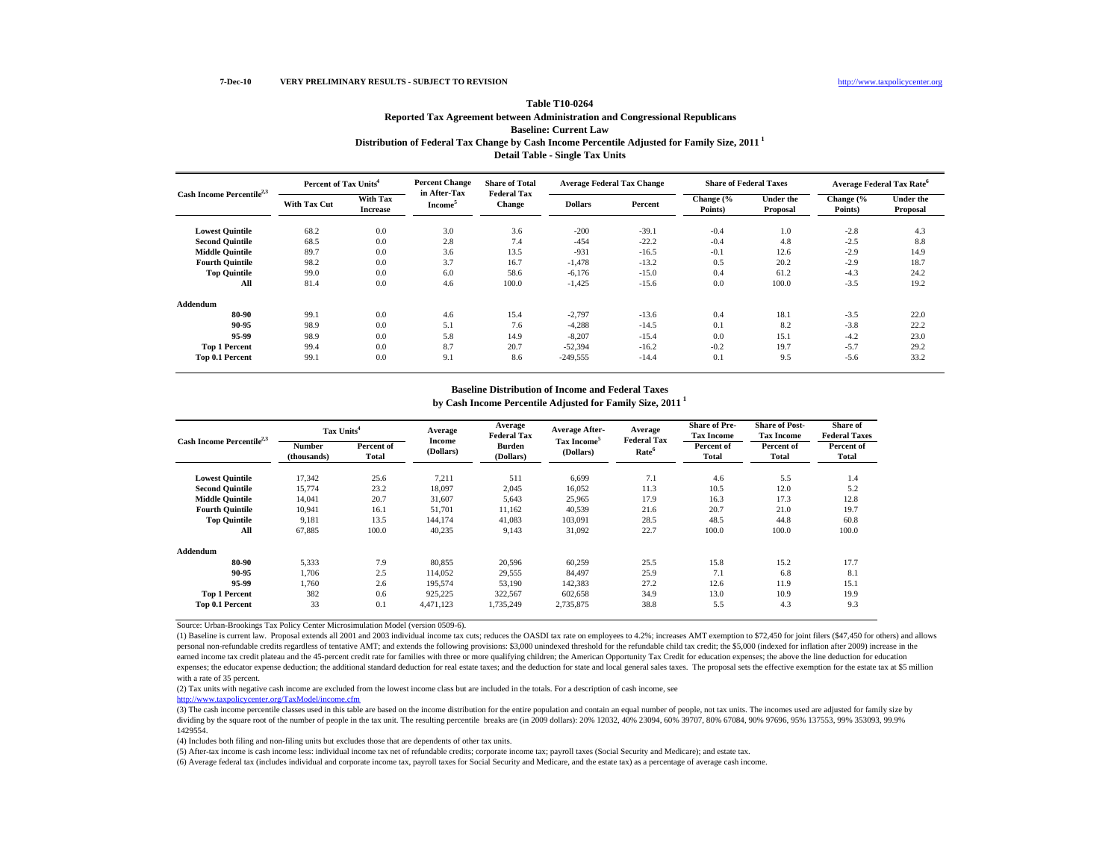## **Distribution of Federal Tax Change by Cash Income Percentile Adjusted for Family Size, 2011 1 Detail Table - Single Tax Units Table T10-0264Reported Tax Agreement between Administration and Congressional Republicans Baseline: Current Law**

|                                       | Percent of Tax Units <sup>4</sup> |                             | <b>Percent Change</b>               | <b>Share of Total</b><br><b>Federal Tax</b> |                | <b>Average Federal Tax Change</b> | <b>Share of Federal Taxes</b> |                              |                      | <b>Average Federal Tax Rate<sup>6</sup></b> |
|---------------------------------------|-----------------------------------|-----------------------------|-------------------------------------|---------------------------------------------|----------------|-----------------------------------|-------------------------------|------------------------------|----------------------|---------------------------------------------|
| Cash Income Percentile <sup>2,3</sup> | With Tax Cut                      | With Tax<br><b>Increase</b> | in After-Tax<br>Income <sup>5</sup> | Change                                      | <b>Dollars</b> | Percent                           | Change (%<br>Points)          | <b>Under the</b><br>Proposal | Change (%<br>Points) | <b>Under the</b><br>Proposal                |
| <b>Lowest Quintile</b>                | 68.2                              | 0.0                         | 3.0                                 | 3.6                                         | $-200$         | $-39.1$                           | $-0.4$                        | 1.0                          | $-2.8$               | 4.3                                         |
| <b>Second Quintile</b>                | 68.5                              | 0.0                         | 2.8                                 | 7.4                                         | $-454$         | $-22.2$                           | $-0.4$                        | 4.8                          | $-2.5$               | 8.8                                         |
| <b>Middle Quintile</b>                | 89.7                              | 0.0                         | 3.6                                 | 13.5                                        | $-931$         | $-16.5$                           | $-0.1$                        | 12.6                         | $-2.9$               | 14.9                                        |
| <b>Fourth Quintile</b>                | 98.2                              | 0.0                         | 3.7                                 | 16.7                                        | $-1,478$       | $-13.2$                           | 0.5                           | 20.2                         | $-2.9$               | 18.7                                        |
| <b>Top Quintile</b>                   | 99.0                              | 0.0                         | 6.0                                 | 58.6                                        | $-6,176$       | $-15.0$                           | 0.4                           | 61.2                         | $-4.3$               | 24.2                                        |
| All                                   | 81.4                              | 0.0                         | 4.6                                 | 100.0                                       | $-1,425$       | $-15.6$                           | 0.0                           | 100.0                        | $-3.5$               | 19.2                                        |
| Addendum                              |                                   |                             |                                     |                                             |                |                                   |                               |                              |                      |                                             |
| 80-90                                 | 99.1                              | 0.0                         | 4.6                                 | 15.4                                        | $-2,797$       | $-13.6$                           | 0.4                           | 18.1                         | $-3.5$               | 22.0                                        |
| 90-95                                 | 98.9                              | 0.0                         | 5.1                                 | 7.6                                         | $-4,288$       | $-14.5$                           | 0.1                           | 8.2                          | $-3.8$               | 22.2                                        |
| 95-99                                 | 98.9                              | 0.0                         | 5.8                                 | 14.9                                        | $-8,207$       | $-15.4$                           | 0.0                           | 15.1                         | $-4.2$               | 23.0                                        |
| <b>Top 1 Percent</b>                  | 99.4                              | 0.0                         | 8.7                                 | 20.7                                        | $-52.394$      | $-16.2$                           | $-0.2$                        | 19.7                         | $-5.7$               | 29.2                                        |
| Top 0.1 Percent                       | 99.1                              | 0.0                         | 9.1                                 | 8.6                                         | $-249.555$     | $-14.4$                           | 0.1                           | 9.5                          | $-5.6$               | 33.2                                        |

#### **Baseline Distribution of Income and Federal Taxes**

**by Cash Income Percentile Adjusted for Family Size, 2011 1**

|                                       | Tax Units <sup>4</sup>       |                     | Average                    | Average<br><b>Federal Tax</b> | <b>Average After-</b>                | Average<br><b>Federal Tax</b> | <b>Share of Pre-</b><br><b>Tax Income</b> | <b>Share of Post-</b><br><b>Tax Income</b> | Share of<br><b>Federal Taxes</b> |
|---------------------------------------|------------------------------|---------------------|----------------------------|-------------------------------|--------------------------------------|-------------------------------|-------------------------------------------|--------------------------------------------|----------------------------------|
| Cash Income Percentile <sup>2,3</sup> | <b>Number</b><br>(thousands) | Percent of<br>Total | <b>Income</b><br>(Dollars) | <b>Burden</b><br>(Dollars)    | Tax Income <sup>5</sup><br>(Dollars) | Rate <sup>6</sup>             | Percent of<br><b>Total</b>                | Percent of<br><b>Total</b>                 | Percent of<br>Total              |
| <b>Lowest Quintile</b>                | 17,342                       | 25.6                | 7,211                      | 511                           | 6,699                                | 7.1                           | 4.6                                       | 5.5                                        | 1.4                              |
| <b>Second Quintile</b>                | 15,774                       | 23.2                | 18,097                     | 2,045                         | 16,052                               | 11.3                          | 10.5                                      | 12.0                                       | 5.2                              |
| <b>Middle Quintile</b>                | 14,041                       | 20.7                | 31,607                     | 5,643                         | 25,965                               | 17.9                          | 16.3                                      | 17.3                                       | 12.8                             |
| <b>Fourth Quintile</b>                | 10,941                       | 16.1                | 51,701                     | 11,162                        | 40,539                               | 21.6                          | 20.7                                      | 21.0                                       | 19.7                             |
| <b>Top Quintile</b>                   | 9,181                        | 13.5                | 144,174                    | 41,083                        | 103,091                              | 28.5                          | 48.5                                      | 44.8                                       | 60.8                             |
| All                                   | 67,885                       | 100.0               | 40,235                     | 9,143                         | 31,092                               | 22.7                          | 100.0                                     | 100.0                                      | 100.0                            |
| Addendum                              |                              |                     |                            |                               |                                      |                               |                                           |                                            |                                  |
| 80-90                                 | 5,333                        | 7.9                 | 80,855                     | 20,596                        | 60,259                               | 25.5                          | 15.8                                      | 15.2                                       | 17.7                             |
| 90-95                                 | 1.706                        | 2.5                 | 114,052                    | 29,555                        | 84.497                               | 25.9                          | 7.1                                       | 6.8                                        | 8.1                              |
| 95-99                                 | 1,760                        | 2.6                 | 195,574                    | 53,190                        | 142,383                              | 27.2                          | 12.6                                      | 11.9                                       | 15.1                             |
| <b>Top 1 Percent</b>                  | 382                          | 0.6                 | 925,225                    | 322,567                       | 602,658                              | 34.9                          | 13.0                                      | 10.9                                       | 19.9                             |
| Top 0.1 Percent                       | 33                           | 0.1                 | 4,471,123                  | 1,735,249                     | 2,735,875                            | 38.8                          | 5.5                                       | 4.3                                        | 9.3                              |

Source: Urban-Brookings Tax Policy Center Microsimulation Model (version 0509-6).

(1) Baseline is current law. Proposal extends all 2001 and 2003 individual income tax cuts; reduces the OASDI tax rate on employees to 4.2%; increases AMT exemption to \$72,450 for joint filers (\$47,450 for others) and allows personal non-refundable credits regardless of tentative AMT; and extends the following provisions: \$3,000 unindexed threshold for the refundable child tax credit; the \$5,000 (indexed for inflation after 2009) increase in the earned income tax credit plateau and the 45-percent credit rate for families with three or more qualifying children; the American Opportunity Tax Credit for education expenses; the above the line deduction for education expenses; the educator expense deduction; the additional standard deduction for real estate taxes; and the deduction for state and local general sales taxes. The proposal sets the effective exemption for the estate tax at with a rate of 35 percent.

(2) Tax units with negative cash income are excluded from the lowest income class but are included in the totals. For a description of cash income, see

http://www.taxpolicycenter.org/TaxModel/income.cfm

(3) The cash income percentile classes used in this table are based on the income distribution for the entire population and contain an equal number of people, not tax units. The incomes used are adjusted for family size by dividing by the square root of the number of people in the tax unit. The resulting percentile breaks are (in 2009 dollars): 20% 12032, 40% 23094, 60% 39707, 80% 67084, 90% 97696, 95% 137553, 99% 353093, 99.9% 1429554.

(4) Includes both filing and non-filing units but excludes those that are dependents of other tax units.

(5) After-tax income is cash income less: individual income tax net of refundable credits; corporate income tax; payroll taxes (Social Security and Medicare); and estate tax.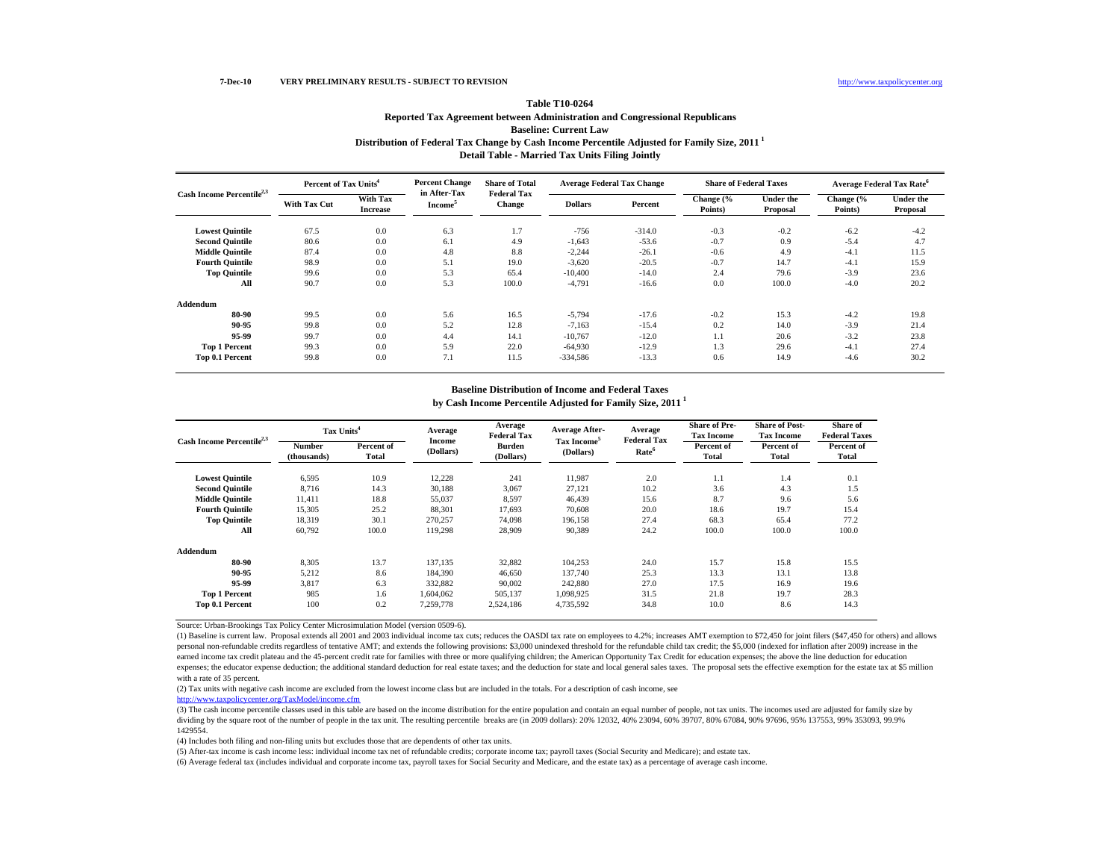## **Distribution of Federal Tax Change by Cash Income Percentile Adjusted for Family Size, 2011 1 Detail Table - Married Tax Units Filing Jointly Table T10-0264Reported Tax Agreement between Administration and Congressional Republicans Baseline: Current Law**

| Cash Income Percentile <sup>2,3</sup> | Percent of Tax Units <sup>4</sup> |                             | <b>Percent Change</b>               | <b>Share of Total</b><br><b>Federal Tax</b> |                | <b>Average Federal Tax Change</b> | <b>Share of Federal Taxes</b> |                              |                      | <b>Average Federal Tax Rate<sup>6</sup></b> |
|---------------------------------------|-----------------------------------|-----------------------------|-------------------------------------|---------------------------------------------|----------------|-----------------------------------|-------------------------------|------------------------------|----------------------|---------------------------------------------|
|                                       | <b>With Tax Cut</b>               | With Tax<br><b>Increase</b> | in After-Tax<br>Income <sup>5</sup> | Change                                      | <b>Dollars</b> | Percent                           | Change (%<br>Points)          | <b>Under the</b><br>Proposal | Change (%<br>Points) | <b>Under the</b><br>Proposal                |
| <b>Lowest Quintile</b>                | 67.5                              | 0.0                         | 6.3                                 | 1.7                                         | $-756$         | $-314.0$                          | $-0.3$                        | $-0.2$                       | $-6.2$               | $-4.2$                                      |
| <b>Second Quintile</b>                | 80.6                              | 0.0                         | 6.1                                 | 4.9                                         | $-1,643$       | $-53.6$                           | $-0.7$                        | 0.9                          | $-5.4$               | 4.7                                         |
| <b>Middle Quintile</b>                | 87.4                              | 0.0                         | 4.8                                 | 8.8                                         | $-2,244$       | $-26.1$                           | $-0.6$                        | 4.9                          | $-4.1$               | 11.5                                        |
| <b>Fourth Quintile</b>                | 98.9                              | 0.0                         | 5.1                                 | 19.0                                        | $-3,620$       | $-20.5$                           | $-0.7$                        | 14.7                         | $-4.1$               | 15.9                                        |
| <b>Top Quintile</b>                   | 99.6                              | 0.0                         | 5.3                                 | 65.4                                        | $-10,400$      | $-14.0$                           | 2.4                           | 79.6                         | $-3.9$               | 23.6                                        |
| All                                   | 90.7                              | 0.0                         | 5.3                                 | 100.0                                       | $-4,791$       | $-16.6$                           | 0.0                           | 100.0                        | $-4.0$               | 20.2                                        |
| Addendum                              |                                   |                             |                                     |                                             |                |                                   |                               |                              |                      |                                             |
| 80-90                                 | 99.5                              | 0.0                         | 5.6                                 | 16.5                                        | $-5,794$       | $-17.6$                           | $-0.2$                        | 15.3                         | $-4.2$               | 19.8                                        |
| 90-95                                 | 99.8                              | 0.0                         | 5.2                                 | 12.8                                        | $-7,163$       | $-15.4$                           | 0.2                           | 14.0                         | $-3.9$               | 21.4                                        |
| 95-99                                 | 99.7                              | 0.0                         | 4.4                                 | 14.1                                        | $-10,767$      | $-12.0$                           | 1.1                           | 20.6                         | $-3.2$               | 23.8                                        |
| <b>Top 1 Percent</b>                  | 99.3                              | 0.0                         | 5.9                                 | 22.0                                        | $-64.930$      | $-12.9$                           | 1.3                           | 29.6                         | $-4.1$               | 27.4                                        |
| <b>Top 0.1 Percent</b>                | 99.8                              | 0.0                         | 7.1                                 | 11.5                                        | $-334.586$     | $-13.3$                           | 0.6                           | 14.9                         | $-4.6$               | 30.2                                        |

### **Baseline Distribution of Income and Federal Taxes**

**by Cash Income Percentile Adjusted for Family Size, 2011 1**

|                                       | Tax Units <sup>4</sup>       |                     | Average                    | Average<br><b>Federal Tax</b> | <b>Average After-</b>                | Average<br><b>Federal Tax</b> | <b>Share of Pre-</b><br><b>Tax Income</b> | <b>Share of Post-</b><br><b>Tax Income</b> | Share of<br><b>Federal Taxes</b> |
|---------------------------------------|------------------------------|---------------------|----------------------------|-------------------------------|--------------------------------------|-------------------------------|-------------------------------------------|--------------------------------------------|----------------------------------|
| Cash Income Percentile <sup>2,3</sup> | <b>Number</b><br>(thousands) | Percent of<br>Total | <b>Income</b><br>(Dollars) | <b>Burden</b><br>(Dollars)    | Tax Income <sup>5</sup><br>(Dollars) | Rate <sup>6</sup>             | Percent of<br>Total                       | Percent of<br>Total                        | Percent of<br>Total              |
| <b>Lowest Quintile</b>                | 6,595                        | 10.9                | 12,228                     | 241                           | 11.987                               | 2.0                           | 1.1                                       | 1.4                                        | 0.1                              |
| <b>Second Quintile</b>                | 8.716                        | 14.3                | 30.188                     | 3,067                         | 27.121                               | 10.2                          | 3.6                                       | 4.3                                        | 1.5                              |
| <b>Middle Quintile</b>                | 11.411                       | 18.8                | 55,037                     | 8,597                         | 46.439                               | 15.6                          | 8.7                                       | 9.6                                        | 5.6                              |
| <b>Fourth Quintile</b>                | 15,305                       | 25.2                | 88,301                     | 17.693                        | 70.608                               | 20.0                          | 18.6                                      | 19.7                                       | 15.4                             |
| <b>Top Quintile</b>                   | 18,319                       | 30.1                | 270.257                    | 74,098                        | 196.158                              | 27.4                          | 68.3                                      | 65.4                                       | 77.2                             |
| All                                   | 60,792                       | 100.0               | 119,298                    | 28,909                        | 90,389                               | 24.2                          | 100.0                                     | 100.0                                      | 100.0                            |
| Addendum                              |                              |                     |                            |                               |                                      |                               |                                           |                                            |                                  |
| 80-90                                 | 8,305                        | 13.7                | 137,135                    | 32,882                        | 104,253                              | 24.0                          | 15.7                                      | 15.8                                       | 15.5                             |
| 90-95                                 | 5,212                        | 8.6                 | 184,390                    | 46,650                        | 137,740                              | 25.3                          | 13.3                                      | 13.1                                       | 13.8                             |
| 95-99                                 | 3,817                        | 6.3                 | 332,882                    | 90,002                        | 242,880                              | 27.0                          | 17.5                                      | 16.9                                       | 19.6                             |
| <b>Top 1 Percent</b>                  | 985                          | 1.6                 | 1,604,062                  | 505,137                       | 1,098,925                            | 31.5                          | 21.8                                      | 19.7                                       | 28.3                             |
| Top 0.1 Percent                       | 100                          | 0.2                 | 7,259,778                  | 2,524,186                     | 4,735,592                            | 34.8                          | 10.0                                      | 8.6                                        | 14.3                             |

Source: Urban-Brookings Tax Policy Center Microsimulation Model (version 0509-6).

(1) Baseline is current law. Proposal extends all 2001 and 2003 individual income tax cuts; reduces the OASDI tax rate on employees to 4.2%; increases AMT exemption to \$72,450 for joint filers (\$47,450 for others) and allows personal non-refundable credits regardless of tentative AMT; and extends the following provisions: \$3,000 unindexed threshold for the refundable child tax credit; the \$5,000 (indexed for inflation after 2009) increase in the earned income tax credit plateau and the 45-percent credit rate for families with three or more qualifying children; the American Opportunity Tax Credit for education expenses; the above the line deduction for education expenses; the educator expense deduction; the additional standard deduction for real estate taxes; and the deduction for state and local general sales taxes. The proposal sets the effective exemption for the estate tax at with a rate of 35 percent.

(2) Tax units with negative cash income are excluded from the lowest income class but are included in the totals. For a description of cash income, see

http://www.taxpolicycenter.org/TaxModel/income.cfm

(3) The cash income percentile classes used in this table are based on the income distribution for the entire population and contain an equal number of people, not tax units. The incomes used are adjusted for family size by dividing by the square root of the number of people in the tax unit. The resulting percentile breaks are (in 2009 dollars): 20% 12032, 40% 23094, 60% 39707, 80% 67084, 90% 97696, 95% 137553, 99% 353093, 99.9% 1429554.

(4) Includes both filing and non-filing units but excludes those that are dependents of other tax units.

(5) After-tax income is cash income less: individual income tax net of refundable credits; corporate income tax; payroll taxes (Social Security and Medicare); and estate tax.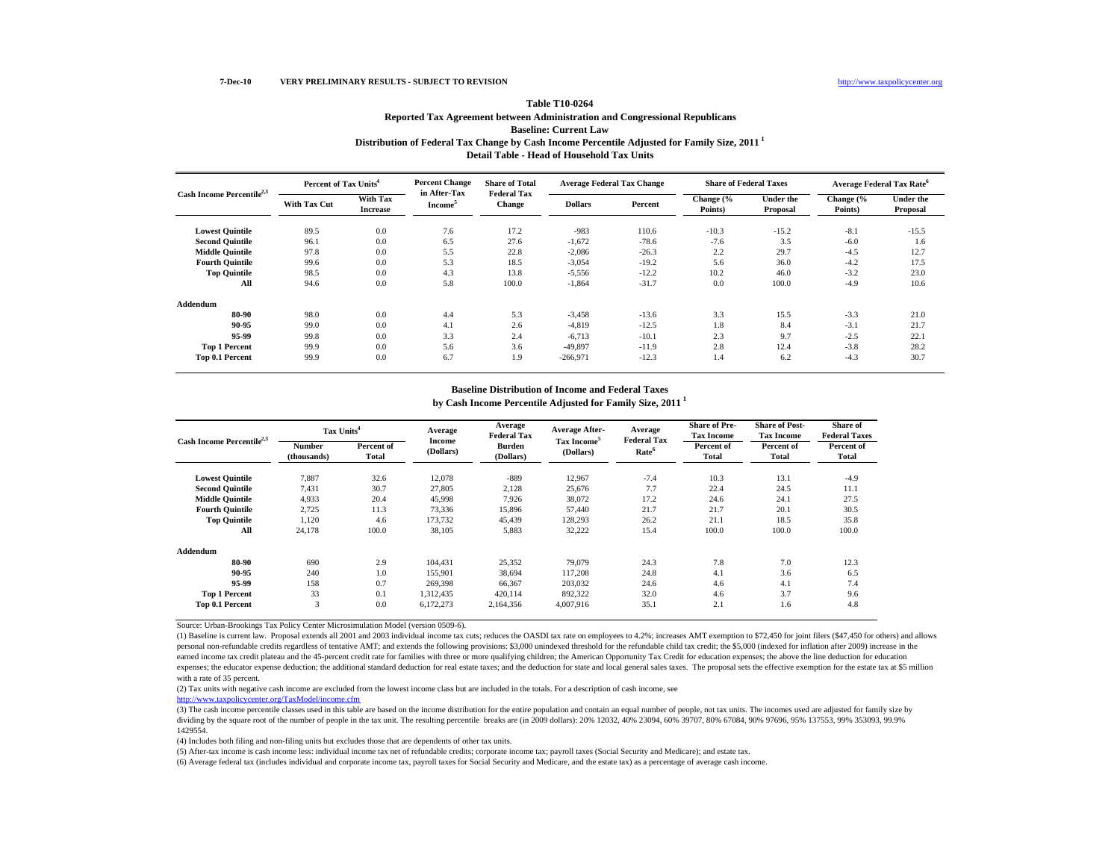## **Distribution of Federal Tax Change by Cash Income Percentile Adjusted for Family Size, 2011 1 Table T10-0264Reported Tax Agreement between Administration and Congressional Republicans Baseline: Current Law**

**Detail Table - Head of Household Tax UnitsPercent Change Share of Total Percent of Tax Units4**

| Cash Income Percentile <sup>2,3</sup> | Percent of Tax Units <sup>4</sup> |                             | <b>Percent Change</b>               | <b>Share of Total</b><br><b>Federal Tax</b> |                | <b>Average Federal Tax Change</b> | <b>Share of Federal Taxes</b> |                              |                      | <b>Average Federal Tax Rate<sup>6</sup></b> |
|---------------------------------------|-----------------------------------|-----------------------------|-------------------------------------|---------------------------------------------|----------------|-----------------------------------|-------------------------------|------------------------------|----------------------|---------------------------------------------|
|                                       | <b>With Tax Cut</b>               | With Tax<br><b>Increase</b> | in After-Tax<br>Income <sup>5</sup> | Change                                      | <b>Dollars</b> | Percent                           | Change (%<br>Points)          | <b>Under the</b><br>Proposal | Change (%<br>Points) | <b>Under the</b><br>Proposal                |
| <b>Lowest Quintile</b>                | 89.5                              | 0.0                         | 7.6                                 | 17.2                                        | $-983$         | 110.6                             | $-10.3$                       | $-15.2$                      | $-8.1$               | $-15.5$                                     |
| <b>Second Quintile</b>                | 96.1                              | 0.0                         | 6.5                                 | 27.6                                        | $-1,672$       | $-78.6$                           | $-7.6$                        | 3.5                          | $-6.0$               | 1.6                                         |
| <b>Middle Quintile</b>                | 97.8                              | 0.0                         | 5.5                                 | 22.8                                        | $-2,086$       | $-26.3$                           | 2.2                           | 29.7                         | $-4.5$               | 12.7                                        |
| <b>Fourth Quintile</b>                | 99.6                              | 0.0                         | 5.3                                 | 18.5                                        | $-3,054$       | $-19.2$                           | 5.6                           | 36.0                         | $-4.2$               | 17.5                                        |
| <b>Top Quintile</b>                   | 98.5                              | 0.0                         | 4.3                                 | 13.8                                        | $-5,556$       | $-12.2$                           | 10.2                          | 46.0                         | $-3.2$               | 23.0                                        |
| All                                   | 94.6                              | 0.0                         | 5.8                                 | 100.0                                       | $-1,864$       | $-31.7$                           | 0.0                           | 100.0                        | $-4.9$               | 10.6                                        |
| Addendum                              |                                   |                             |                                     |                                             |                |                                   |                               |                              |                      |                                             |
| 80-90                                 | 98.0                              | 0.0                         | 4.4                                 | 5.3                                         | $-3,458$       | $-13.6$                           | 3.3                           | 15.5                         | $-3.3$               | 21.0                                        |
| 90-95                                 | 99.0                              | 0.0                         | 4.1                                 | 2.6                                         | $-4,819$       | $-12.5$                           | 1.8                           | 8.4                          | $-3.1$               | 21.7                                        |
| 95-99                                 | 99.8                              | 0.0                         | 3.3                                 | 2.4                                         | $-6,713$       | $-10.1$                           | 2.3                           | 9.7                          | $-2.5$               | 22.1                                        |
| <b>Top 1 Percent</b>                  | 99.9                              | 0.0                         | 5.6                                 | 3.6                                         | $-49,897$      | $-11.9$                           | 2.8                           | 12.4                         | $-3.8$               | 28.2                                        |
| Top 0.1 Percent                       | 99.9                              | 0.0                         | 6.7                                 | 1.9                                         | $-266,971$     | $-12.3$                           | 1.4                           | 6.2                          | $-4.3$               | 30.7                                        |

### **Baseline Distribution of Income and Federal Taxes**

**by Cash Income Percentile Adjusted for Family Size, 2011 1**

|                                       | Tax Units <sup>4</sup>       |                     | Average                    | Average<br><b>Federal Tax</b> | <b>Average After-</b>                | Average<br><b>Federal Tax</b> | <b>Share of Pre-</b><br><b>Tax Income</b> | <b>Share of Post-</b><br><b>Tax Income</b> | <b>Share of</b><br><b>Federal Taxes</b> |
|---------------------------------------|------------------------------|---------------------|----------------------------|-------------------------------|--------------------------------------|-------------------------------|-------------------------------------------|--------------------------------------------|-----------------------------------------|
| Cash Income Percentile <sup>2,3</sup> | <b>Number</b><br>(thousands) | Percent of<br>Total | <b>Income</b><br>(Dollars) | <b>Burden</b><br>(Dollars)    | Tax Income <sup>5</sup><br>(Dollars) | Rate <sup>6</sup>             | Percent of<br>Total                       | Percent of<br>Total                        | Percent of<br>Total                     |
| <b>Lowest Quintile</b>                | 7,887                        | 32.6                | 12,078                     | $-889$                        | 12,967                               | $-7.4$                        | 10.3                                      | 13.1                                       | $-4.9$                                  |
| <b>Second Quintile</b>                | 7,431                        | 30.7                | 27,805                     | 2,128                         | 25,676                               | 7.7                           | 22.4                                      | 24.5                                       | 11.1                                    |
| <b>Middle Quintile</b>                | 4,933                        | 20.4                | 45,998                     | 7,926                         | 38,072                               | 17.2                          | 24.6                                      | 24.1                                       | 27.5                                    |
| <b>Fourth Quintile</b>                | 2,725                        | 11.3                | 73,336                     | 15,896                        | 57,440                               | 21.7                          | 21.7                                      | 20.1                                       | 30.5                                    |
| <b>Top Quintile</b>                   | 1,120                        | 4.6                 | 173,732                    | 45,439                        | 128,293                              | 26.2                          | 21.1                                      | 18.5                                       | 35.8                                    |
| All                                   | 24,178                       | 100.0               | 38,105                     | 5,883                         | 32,222                               | 15.4                          | 100.0                                     | 100.0                                      | 100.0                                   |
| Addendum                              |                              |                     |                            |                               |                                      |                               |                                           |                                            |                                         |
| 80-90                                 | 690                          | 2.9                 | 104.431                    | 25,352                        | 79,079                               | 24.3                          | 7.8                                       | 7.0                                        | 12.3                                    |
| 90-95                                 | 240                          | 1.0                 | 155,901                    | 38,694                        | 117.208                              | 24.8                          | 4.1                                       | 3.6                                        | 6.5                                     |
| 95-99                                 | 158                          | 0.7                 | 269,398                    | 66,367                        | 203,032                              | 24.6                          | 4.6                                       | 4.1                                        | 7.4                                     |
| <b>Top 1 Percent</b>                  | 33                           | 0.1                 | 1,312,435                  | 420,114                       | 892,322                              | 32.0                          | 4.6                                       | 3.7                                        | 9.6                                     |
| Top 0.1 Percent                       | 3                            | 0.0                 | 6,172,273                  | 2,164,356                     | 4,007,916                            | 35.1                          | 2.1                                       | 1.6                                        | 4.8                                     |

Source: Urban-Brookings Tax Policy Center Microsimulation Model (version 0509-6).

(1) Baseline is current law. Proposal extends all 2001 and 2003 individual income tax cuts; reduces the OASDI tax rate on employees to 4.2%; increases AMT exemption to \$72,450 for joint filers (\$47,450 for others) and allows personal non-refundable credits regardless of tentative AMT; and extends the following provisions: \$3,000 unindexed threshold for the refundable child tax credit; the \$5,000 (indexed for inflation after 2009) increase in the earned income tax credit plateau and the 45-percent credit rate for families with three or more qualifying children; the American Opportunity Tax Credit for education expenses; the above the line deduction for education expenses; the educator expense deduction; the additional standard deduction for real estate taxes; and the deduction for state and local general sales taxes. The proposal sets the effective exemption for the estate tax at with a rate of 35 percent.

(2) Tax units with negative cash income are excluded from the lowest income class but are included in the totals. For a description of cash income, see

http://www.taxpolicycenter.org/TaxModel/income.cfm

(3) The cash income percentile classes used in this table are based on the income distribution for the entire population and contain an equal number of people, not tax units. The incomes used are adjusted for family size by dividing by the square root of the number of people in the tax unit. The resulting percentile breaks are (in 2009 dollars): 20% 12032, 40% 23094, 60% 39707, 80% 67084, 90% 97696, 95% 137553, 99% 353093, 99.9% 1429554.

(4) Includes both filing and non-filing units but excludes those that are dependents of other tax units.

(5) After-tax income is cash income less: individual income tax net of refundable credits; corporate income tax; payroll taxes (Social Security and Medicare); and estate tax.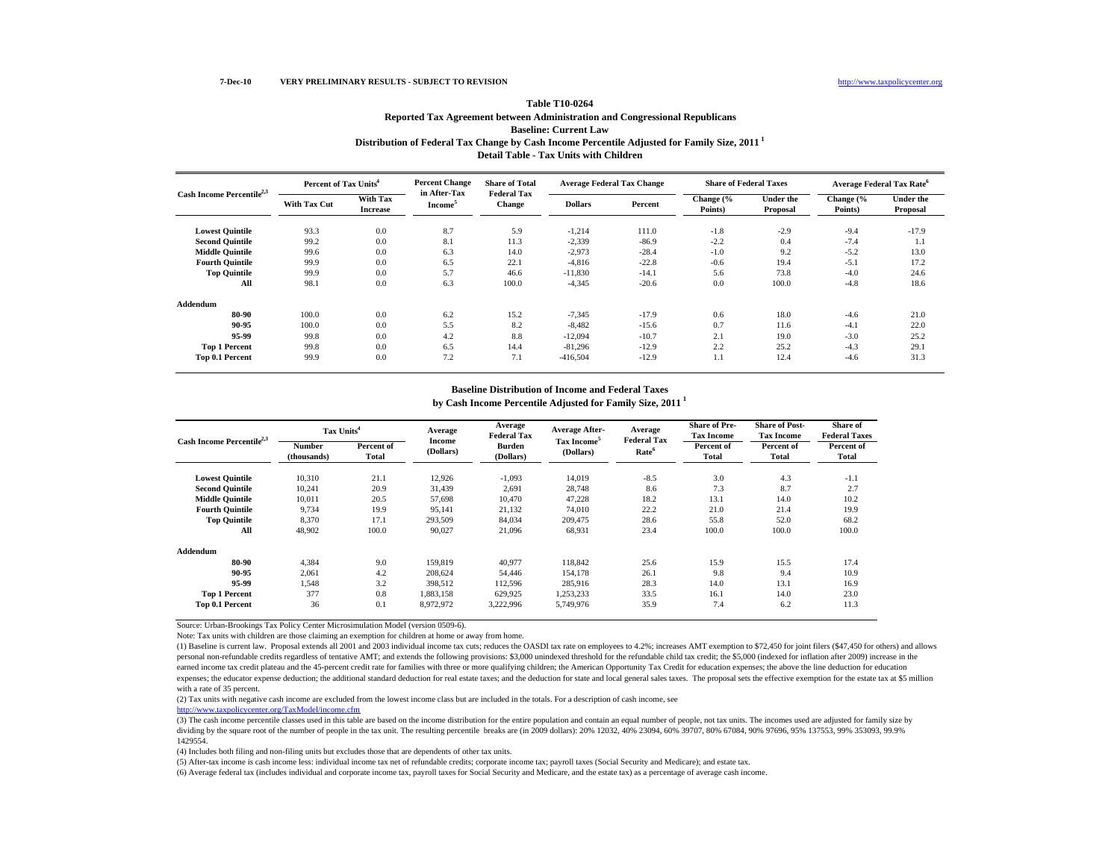## **7-Dec-10 VERY PRELIMINARY RESULTS - SUBJECT TO REVISION**

## **Distribution of Federal Tax Change by Cash Income Percentile Adjusted for Family Size, 2011 1 Detail Table - Tax Units with ChildrenTable T10-0264Reported Tax Agreement between Administration and Congressional Republicans Baseline: Current Law**

| Cash Income Percentile <sup>2,3</sup> | Percent of Tax Units <sup>4</sup> |                                    | <b>Percent Change</b>               | <b>Share of Total</b>               | <b>Average Federal Tax Change</b> |         | <b>Share of Federal Taxes</b> |                              | <b>Average Federal Tax Rate<sup>6</sup></b> |                              |
|---------------------------------------|-----------------------------------|------------------------------------|-------------------------------------|-------------------------------------|-----------------------------------|---------|-------------------------------|------------------------------|---------------------------------------------|------------------------------|
|                                       | <b>With Tax Cut</b>               | <b>With Tax</b><br><b>Increase</b> | in After-Tax<br>Income <sup>5</sup> | <b>Federal Tax</b><br><b>Change</b> | <b>Dollars</b>                    | Percent | Change (%<br>Points)          | <b>Under the</b><br>Proposal | Change (%<br>Points)                        | <b>Under the</b><br>Proposal |
| <b>Lowest Quintile</b>                | 93.3                              | 0.0                                | 8.7                                 | 5.9                                 | $-1,214$                          | 111.0   | $-1.8$                        | $-2.9$                       | $-9.4$                                      | $-17.9$                      |
| <b>Second Quintile</b>                | 99.2                              | 0.0                                | 8.1                                 | 11.3                                | $-2,339$                          | $-86.9$ | $-2.2$                        | 0.4                          | $-7.4$                                      | 1.1                          |
| <b>Middle Quintile</b>                | 99.6                              | 0.0                                | 6.3                                 | 14.0                                | $-2,973$                          | $-28.4$ | $-1.0$                        | 9.2                          | $-5.2$                                      | 13.0                         |
| <b>Fourth Quintile</b>                | 99.9                              | 0.0                                | 6.5                                 | 22.1                                | $-4,816$                          | $-22.8$ | $-0.6$                        | 19.4                         | $-5.1$                                      | 17.2                         |
| <b>Top Quintile</b>                   | 99.9                              | 0.0                                | 5.7                                 | 46.6                                | $-11,830$                         | $-14.1$ | 5.6                           | 73.8                         | $-4.0$                                      | 24.6                         |
| All                                   | 98.1                              | 0.0                                | 6.3                                 | 100.0                               | $-4,345$                          | $-20.6$ | 0.0                           | 100.0                        | $-4.8$                                      | 18.6                         |
| Addendum                              |                                   |                                    |                                     |                                     |                                   |         |                               |                              |                                             |                              |
| 80-90                                 | 100.0                             | 0.0                                | 6.2                                 | 15.2                                | $-7,345$                          | $-17.9$ | 0.6                           | 18.0                         | $-4.6$                                      | 21.0                         |
| 90-95                                 | 100.0                             | 0.0                                | 5.5                                 | 8.2                                 | $-8,482$                          | $-15.6$ | 0.7                           | 11.6                         | $-4.1$                                      | 22.0                         |
| 95-99                                 | 99.8                              | 0.0                                | 4.2                                 | 8.8                                 | $-12,094$                         | $-10.7$ | 2.1                           | 19.0                         | $-3.0$                                      | 25.2                         |
| <b>Top 1 Percent</b>                  | 99.8                              | 0.0                                | 6.5                                 | 14.4                                | $-81,296$                         | $-12.9$ | 2.2                           | 25.2                         | $-4.3$                                      | 29.1                         |
| Top 0.1 Percent                       | 99.9                              | 0.0                                | 7.2                                 | 7.1                                 | $-416,504$                        | $-12.9$ | 1.1                           | 12.4                         | $-4.6$                                      | 31.3                         |

### **Baseline Distribution of Income and Federal Taxes**

**by Cash Income Percentile Adjusted for Family Size, 2011 1**

|                                       | Tax Units <sup>4</sup> |                     | Average                    | Average<br><b>Federal Tax</b> | <b>Average After-</b>                | Average<br><b>Federal Tax</b> | <b>Share of Pre-</b><br><b>Tax Income</b> | <b>Share of Post-</b><br><b>Tax Income</b> | Share of<br><b>Federal Taxes</b> |
|---------------------------------------|------------------------|---------------------|----------------------------|-------------------------------|--------------------------------------|-------------------------------|-------------------------------------------|--------------------------------------------|----------------------------------|
| Cash Income Percentile <sup>2,3</sup> | Number<br>(thousands)  | Percent of<br>Total | <b>Income</b><br>(Dollars) | <b>Burden</b><br>(Dollars)    | Tax Income <sup>5</sup><br>(Dollars) | Rate <sup>6</sup>             | Percent of<br><b>Total</b>                | Percent of<br>Total                        | Percent of<br>Total              |
| <b>Lowest Quintile</b>                | 10.310                 | 21.1                | 12.926                     | $-1,093$                      | 14.019                               | $-8.5$                        | 3.0                                       | 4.3                                        | $-1.1$                           |
| <b>Second Quintile</b>                | 10,241                 | 20.9                | 31.439                     | 2,691                         | 28,748                               | 8.6                           | 7.3                                       | 8.7                                        | 2.7                              |
| <b>Middle Ouintile</b>                | 10.011                 | 20.5                | 57.698                     | 10.470                        | 47,228                               | 18.2                          | 13.1                                      | 14.0                                       | 10.2                             |
| <b>Fourth Ouintile</b>                | 9.734                  | 19.9                | 95.141                     | 21,132                        | 74.010                               | 22.2                          | 21.0                                      | 21.4                                       | 19.9                             |
| <b>Top Quintile</b>                   | 8,370                  | 17.1                | 293.509                    | 84,034                        | 209,475                              | 28.6                          | 55.8                                      | 52.0                                       | 68.2                             |
| All                                   | 48.902                 | 100.0               | 90.027                     | 21,096                        | 68,931                               | 23.4                          | 100.0                                     | 100.0                                      | 100.0                            |
| <b>Addendum</b>                       |                        |                     |                            |                               |                                      |                               |                                           |                                            |                                  |
| 80-90                                 | 4.384                  | 9.0                 | 159,819                    | 40.977                        | 118,842                              | 25.6                          | 15.9                                      | 15.5                                       | 17.4                             |
| 90-95                                 | 2,061                  | 4.2                 | 208,624                    | 54,446                        | 154,178                              | 26.1                          | 9.8                                       | 9.4                                        | 10.9                             |
| 95-99                                 | 1,548                  | 3.2                 | 398,512                    | 112.596                       | 285,916                              | 28.3                          | 14.0                                      | 13.1                                       | 16.9                             |
| <b>Top 1 Percent</b>                  | 377                    | 0.8                 | 1.883.158                  | 629.925                       | 1,253,233                            | 33.5                          | 16.1                                      | 14.0                                       | 23.0                             |
| Top 0.1 Percent                       | 36                     | 0.1                 | 8,972,972                  | 3,222,996                     | 5,749,976                            | 35.9                          | 7.4                                       | 6.2                                        | 11.3                             |

Source: Urban-Brookings Tax Policy Center Microsimulation Model (version 0509-6).

Note: Tax units with children are those claiming an exemption for children at home or away from home.

(1) Baseline is current law. Proposal extends all 2001 and 2003 individual income tax cuts; reduces the OASDI tax rate on employees to 4.2%; increases AMT exemption to \$72,450 for joint filers (\$47,450 for others) and allows personal non-refundable credits regardless of tentative AMT; and extends the following provisions: \$3,000 unindexed threshold for the refundable child tax credit; the \$5,000 (indexed for inflation after 2009) increase in the earned income tax credit plateau and the 45-percent credit rate for families with three or more qualifying children; the American Opportunity Tax Credit for education expenses; the above the line deduction for education expenses; the educator expense deduction; the additional standard deduction for real estate taxes; and the deduction for state and local general sales taxes. The proposal sets the effective exemption for the estate tax at with a rate of 35 percent.

(2) Tax units with negative cash income are excluded from the lowest income class but are included in the totals. For a description of cash income, see

http://www.taxpolicycenter.org/TaxModel/income.cfm

(3) The cash income percentile classes used in this table are based on the income distribution for the entire population and contain an equal number of people, not tax units. The incomes used are adjusted for family size by dividing by the square root of the number of people in the tax unit. The resulting percentile breaks are (in 2009 dollars): 20% 12032, 40% 23094, 60% 39707, 80% 67084, 90% 97696, 95% 137553, 99% 353093, 99.9% 1429554.

(4) Includes both filing and non-filing units but excludes those that are dependents of other tax units.

(5) After-tax income is cash income less: individual income tax net of refundable credits; corporate income tax; payroll taxes (Social Security and Medicare); and estate tax.